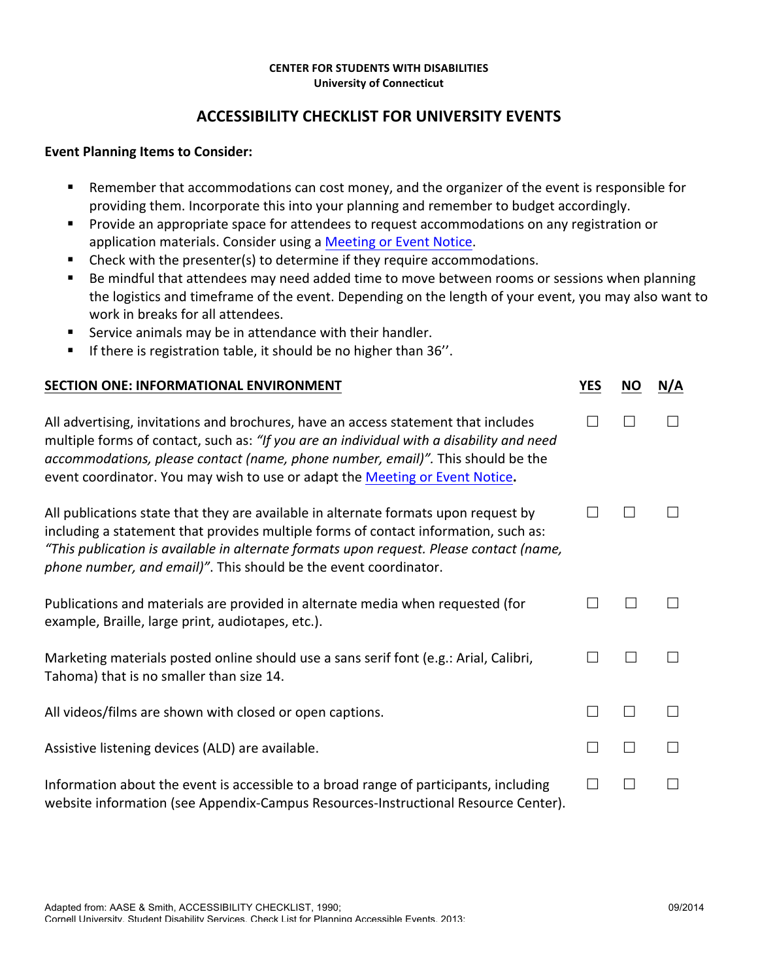## **CENTER FOR STUDENTS WITH DISABILITIES University of Connecticut**

## **ACCESSIBILITY CHECKLIST FOR UNIVERSITY EVENTS**

## **Event Planning Items to Consider:**

- Remember that accommodations can cost money, and the organizer of the event is responsible for providing them. Incorporate this into your planning and remember to budget accordingly.
- Provide an appropriate space for attendees to request accommodations on any registration or application materials. Consider using a Meeting or Event Notice.
- Check with the presenter(s) to determine if they require accommodations.
- Be mindful that attendees may need added time to move between rooms or sessions when planning the logistics and timeframe of the event. Depending on the length of your event, you may also want to work in breaks for all attendees.
- Service animals may be in attendance with their handler.
- If there is registration table, it should be no higher than 36".

| SECTION ONE: INFORMATIONAL ENVIRONMENT                                                                                                                                                                                                                                                                                                            | <b>YES</b> | <b>NO</b> | N/A |
|---------------------------------------------------------------------------------------------------------------------------------------------------------------------------------------------------------------------------------------------------------------------------------------------------------------------------------------------------|------------|-----------|-----|
| All advertising, invitations and brochures, have an access statement that includes<br>multiple forms of contact, such as: "If you are an individual with a disability and need<br>accommodations, please contact (name, phone number, email)". This should be the<br>event coordinator. You may wish to use or adapt the Meeting or Event Notice. |            | $\Box$    |     |
| All publications state that they are available in alternate formats upon request by<br>including a statement that provides multiple forms of contact information, such as:<br>"This publication is available in alternate formats upon request. Please contact (name,<br>phone number, and email)". This should be the event coordinator.         |            |           |     |
| Publications and materials are provided in alternate media when requested (for<br>example, Braille, large print, audiotapes, etc.).                                                                                                                                                                                                               |            |           |     |
| Marketing materials posted online should use a sans serif font (e.g.: Arial, Calibri,<br>Tahoma) that is no smaller than size 14.                                                                                                                                                                                                                 |            |           |     |
| All videos/films are shown with closed or open captions.                                                                                                                                                                                                                                                                                          |            |           |     |
| Assistive listening devices (ALD) are available.                                                                                                                                                                                                                                                                                                  |            |           |     |
| Information about the event is accessible to a broad range of participants, including<br>website information (see Appendix-Campus Resources-Instructional Resource Center).                                                                                                                                                                       |            |           |     |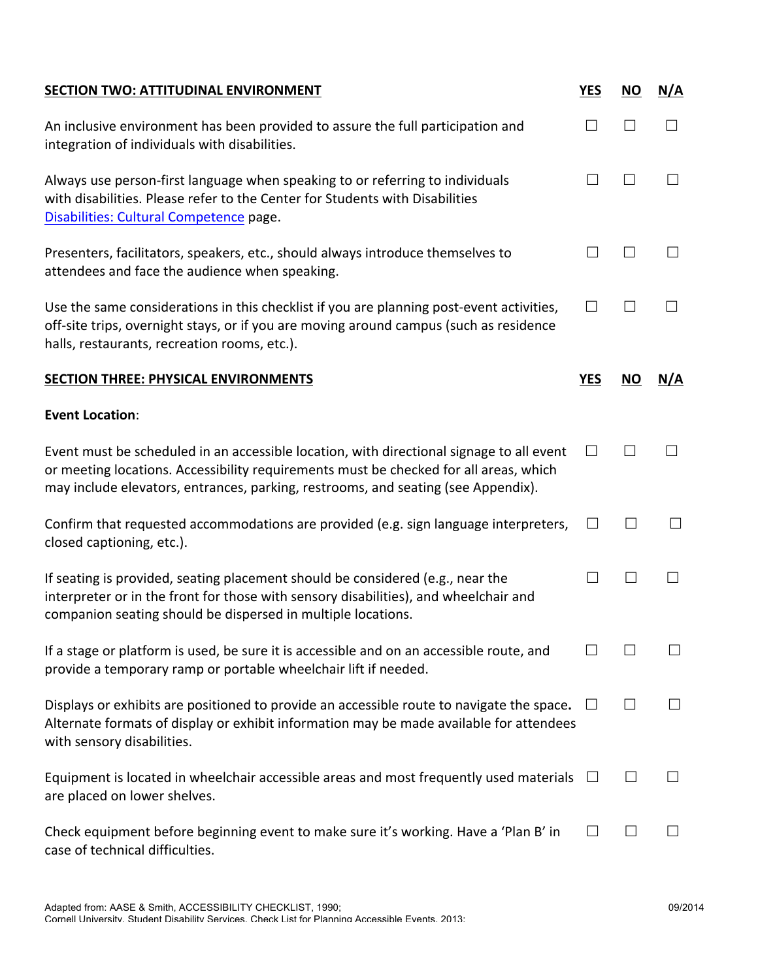| <b>SECTION TWO: ATTITUDINAL ENVIRONMENT</b>                                                                                                                                                                                                                            | <b>YES</b> | <b>NO</b>    | N/A          |
|------------------------------------------------------------------------------------------------------------------------------------------------------------------------------------------------------------------------------------------------------------------------|------------|--------------|--------------|
| An inclusive environment has been provided to assure the full participation and<br>integration of individuals with disabilities.                                                                                                                                       | П          | $\Box$       | $\Box$       |
| Always use person-first language when speaking to or referring to individuals<br>with disabilities. Please refer to the Center for Students with Disabilities<br>Disabilities: Cultural Competence page.                                                               | $\perp$    | $\Box$       | $\Box$       |
| Presenters, facilitators, speakers, etc., should always introduce themselves to<br>attendees and face the audience when speaking.                                                                                                                                      | $\perp$    | $\perp$      | $\Box$       |
| Use the same considerations in this checklist if you are planning post-event activities,<br>off-site trips, overnight stays, or if you are moving around campus (such as residence<br>halls, restaurants, recreation rooms, etc.).                                     | П          | $\mathbf{L}$ |              |
| <b>SECTION THREE: PHYSICAL ENVIRONMENTS</b>                                                                                                                                                                                                                            | <b>YES</b> | <b>NO</b>    | N/A          |
| <b>Event Location:</b>                                                                                                                                                                                                                                                 |            |              |              |
| Event must be scheduled in an accessible location, with directional signage to all event<br>or meeting locations. Accessibility requirements must be checked for all areas, which<br>may include elevators, entrances, parking, restrooms, and seating (see Appendix). | П          | $\Box$       | $\Box$       |
| Confirm that requested accommodations are provided (e.g. sign language interpreters,<br>closed captioning, etc.).                                                                                                                                                      | $\Box$     |              |              |
| If seating is provided, seating placement should be considered (e.g., near the<br>interpreter or in the front for those with sensory disabilities), and wheelchair and<br>companion seating should be dispersed in multiple locations.                                 | $\perp$    |              | $\mathsf{L}$ |
| If a stage or platform is used, be sure it is accessible and on an accessible route, and<br>provide a temporary ramp or portable wheelchair lift if needed.                                                                                                            |            |              |              |
| Displays or exhibits are positioned to provide an accessible route to navigate the space.<br>Alternate formats of display or exhibit information may be made available for attendees<br>with sensory disabilities.                                                     |            |              |              |
| Equipment is located in wheelchair accessible areas and most frequently used materials<br>are placed on lower shelves.                                                                                                                                                 |            |              |              |
| Check equipment before beginning event to make sure it's working. Have a 'Plan B' in<br>case of technical difficulties.                                                                                                                                                | $\Box$     |              |              |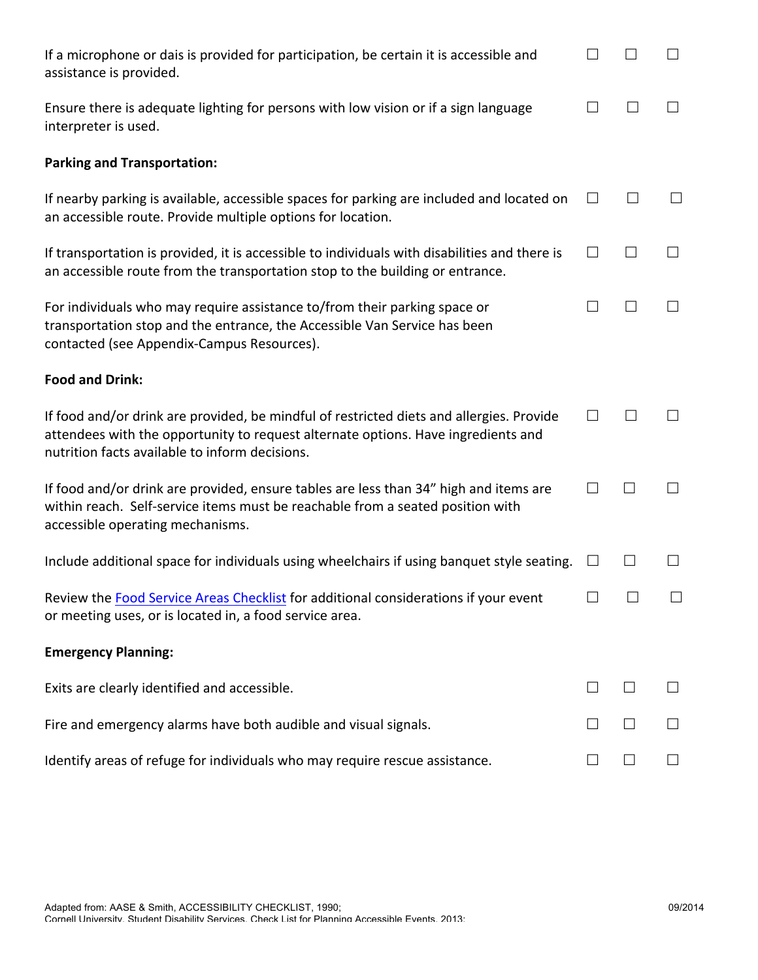| If a microphone or dais is provided for participation, be certain it is accessible and<br>assistance is provided.                                                                                                               | $\Box$       |        |        |
|---------------------------------------------------------------------------------------------------------------------------------------------------------------------------------------------------------------------------------|--------------|--------|--------|
| Ensure there is adequate lighting for persons with low vision or if a sign language<br>interpreter is used.                                                                                                                     | П            |        |        |
| <b>Parking and Transportation:</b>                                                                                                                                                                                              |              |        |        |
| If nearby parking is available, accessible spaces for parking are included and located on<br>an accessible route. Provide multiple options for location.                                                                        | $\Box$       |        |        |
| If transportation is provided, it is accessible to individuals with disabilities and there is<br>an accessible route from the transportation stop to the building or entrance.                                                  | $\Box$       |        |        |
| For individuals who may require assistance to/from their parking space or<br>transportation stop and the entrance, the Accessible Van Service has been<br>contacted (see Appendix-Campus Resources).                            | $\mathbf{L}$ |        |        |
| <b>Food and Drink:</b>                                                                                                                                                                                                          |              |        |        |
| If food and/or drink are provided, be mindful of restricted diets and allergies. Provide<br>attendees with the opportunity to request alternate options. Have ingredients and<br>nutrition facts available to inform decisions. | $\perp$      |        |        |
| If food and/or drink are provided, ensure tables are less than 34" high and items are<br>within reach. Self-service items must be reachable from a seated position with<br>accessible operating mechanisms.                     | $\Box$       |        |        |
| Include additional space for individuals using wheelchairs if using banquet style seating.                                                                                                                                      | $\Box$       |        |        |
| Review the Food Service Areas Checklist for additional considerations if your event<br>or meeting uses, or is located in, a food service area.                                                                                  | $\Box$       | $\Box$ | $\Box$ |
| <b>Emergency Planning:</b>                                                                                                                                                                                                      |              |        |        |
| Exits are clearly identified and accessible.                                                                                                                                                                                    |              |        |        |
| Fire and emergency alarms have both audible and visual signals.                                                                                                                                                                 |              |        |        |
| Identify areas of refuge for individuals who may require rescue assistance.                                                                                                                                                     | $\Box$       |        |        |